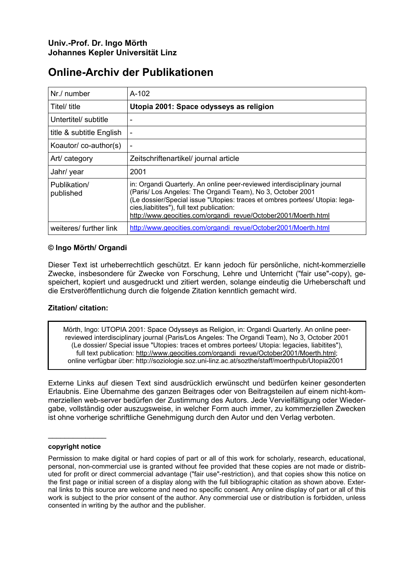# **Online-Archiv der Publikationen**

| Nr./ number               | $A-102$                                                                                                                                                                                                                                                                                                                               |
|---------------------------|---------------------------------------------------------------------------------------------------------------------------------------------------------------------------------------------------------------------------------------------------------------------------------------------------------------------------------------|
| Titel/ title              | Utopia 2001: Space odysseys as religion                                                                                                                                                                                                                                                                                               |
| Untertitel/ subtitle      |                                                                                                                                                                                                                                                                                                                                       |
| title & subtitle English  |                                                                                                                                                                                                                                                                                                                                       |
| Koautor/co-author(s)      |                                                                                                                                                                                                                                                                                                                                       |
| Art/ category             | Zeitschriftenartikel/ journal article                                                                                                                                                                                                                                                                                                 |
| Jahr/ year                | 2001                                                                                                                                                                                                                                                                                                                                  |
| Publikation/<br>published | in: Organdi Quarterly. An online peer-reviewed interdisciplinary journal<br>(Paris/ Los Angeles: The Organdi Team), No 3, October 2001<br>(Le dossier/Special issue "Utopies: traces et ombres portees/ Utopia: lega-<br>cies, liabitites"), full text publication:<br>http://www.geocities.com/organdi revue/October2001/Moerth.html |
| weiteres/ further link    | http://www.geocities.com/organdi_revue/October2001/Moerth.html                                                                                                                                                                                                                                                                        |

#### **© Ingo Mörth/ Organdi**

Dieser Text ist urheberrechtlich geschützt. Er kann jedoch für persönliche, nicht-kommerzielle Zwecke, insbesondere für Zwecke von Forschung, Lehre und Unterricht ("fair use"-copy), gespeichert, kopiert und ausgedruckt und zitiert werden, solange eindeutig die Urheberschaft und die Erstveröffentlichung durch die folgende Zitation kenntlich gemacht wird.

#### **Zitation/ citation:**

Mörth, Ingo: UTOPIA 2001: Space Odysseys as Religion, in: Organdi Quarterly. An online peerreviewed interdisciplinary journal (Paris/Los Angeles: The Organdi Team), No 3, October 2001 (Le dossier/ Special issue "Utopies: traces et ombres portees/ Utopia: legacies, liabitites"), full text publication: [http://www.geocities.com/organdi\\_revue/October2001/Moerth.html](http://www.geocities.com/organdi_revue/October2001/Moerth.html); online verfügbar über: http://soziologie.soz.uni-linz.ac.at/sozthe/staff/moerthpub/Utopia2001

Externe Links auf diesen Text sind ausdrücklich erwünscht und bedürfen keiner gesonderten Erlaubnis. Eine Übernahme des ganzen Beitrages oder von Beitragsteilen auf einem nicht-kommerziellen web-server bedürfen der Zustimmung des Autors. Jede Vervielfältigung oder Wiedergabe, vollständig oder auszugsweise, in welcher Form auch immer, zu kommerziellen Zwecken ist ohne vorherige schriftliche Genehmigung durch den Autor und den Verlag verboten.

#### **copyright notice**

 $\mathcal{L}_\text{max}$  , where  $\mathcal{L}_\text{max}$ 

Permission to make digital or hard copies of part or all of this work for scholarly, research, educational, personal, non-commercial use is granted without fee provided that these copies are not made or distributed for profit or direct commercial advantage ("fair use"-restriction), and that copies show this notice on the first page or initial screen of a display along with the full bibliographic citation as shown above. External links to this source are welcome and need no specific consent. Any online display of part or all of this work is subject to the prior consent of the author. Any commercial use or distribution is forbidden, unless consented in writing by the author and the publisher.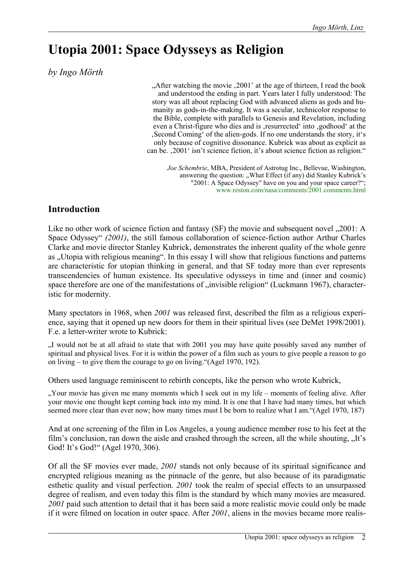# **Utopia 2001: Space Odysseys as Religion**

*by Ingo Mörth* 

"After watching the movie '2001' at the age of thirteen, I read the book and understood the ending in part. Years later I fully understood: The story was all about replacing God with advanced aliens as gods and humanity as gods-in-the-making. It was a secular, technicolor response to the Bible, complete with parallels to Genesis and Revelation, including even a Christ-figure who dies and is , resurrected into , godhood at the Second Coming' of the alien-gods. If no one understands the story, it's only because of cognitive dissonance. Kubrick was about as explicit as can be. , 2001' isn't science fiction, it's about science fiction as religion."

*Joe Schembrie*, MBA, President of Astrotug Inc., Bellevue, Washington, answering the question: "What Effect (if any) did Stanley Kubrick's "2001: A Space Odyssey" have on you and your space career?"; www.reston.com/nasa/comments/2001.comments.html

# **Introduction**

Like no other work of science fiction and fantasy (SF) the movie and subsequent novel  $.2001$ : A Space Odyssey" *(2001)*, the still famous collaboration of science-fiction author Arthur Charles Clarke and movie director Stanley Kubrick, demonstrates the inherent quality of the whole genre as . Utopia with religious meaning". In this essay I will show that religious functions and patterns are characteristic for utopian thinking in general, and that SF today more than ever represents transcendencies of human existence. Its speculative odysseys in time and (inner and cosmic) space therefore are one of the manifestations of "invisible religion" (Luckmann 1967), characteristic for modernity.

Many spectators in 1968, when *2001* was released first, described the film as a religious experience, saying that it opened up new doors for them in their spiritual lives (see DeMet 1998/2001). F.e. a letter-writer wrote to Kubrick:

"I would not be at all afraid to state that with 2001 you may have quite possibly saved any number of spiritual and physical lives. For it is within the power of a film such as yours to give people a reason to go on living – to give them the courage to go on living."(Agel 1970, 192).

Others used language reminiscent to rebirth concepts, like the person who wrote Kubrick,

". Your movie has given me many moments which I seek out in my life – moments of feeling alive. After your movie one thought kept coming back into my mind. It is one that I have had many times, but which seemed more clear than ever now; how many times must I be born to realize what I am."(Agel 1970, 187)

And at one screening of the film in Los Angeles, a young audience member rose to his feet at the film's conclusion, ran down the aisle and crashed through the screen, all the while shouting,  $\mu$ t's God! It's God!" (Agel 1970, 306).

Of all the SF movies ever made, *2001* stands not only because of its spiritual significance and encrypted religious meaning as the pinnacle of the genre, but also because of its paradigmatic esthetic quality and visual perfection. *2001* took the realm of special effects to an unsurpassed degree of realism, and even today this film is the standard by which many movies are measured. *2001* paid such attention to detail that it has been said a more realistic movie could only be made if it were filmed on location in outer space. After *2001*, aliens in the movies became more realis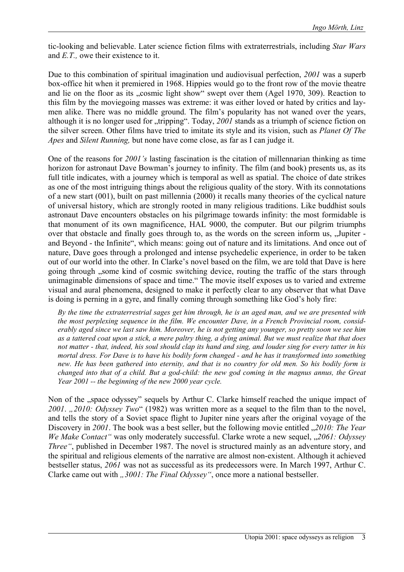tic-looking and believable. Later science fiction films with extraterrestrials, including *Star Wars* and *E.T.,* owe their existence to it.

Due to this combination of spiritual imagination und audiovisual perfection, *2001* was a superb box-office hit when it premiered in 1968. Hippies would go to the front row of the movie theatre and lie on the floor as its "cosmic light show" swept over them (Agel 1970, 309). Reaction to this film by the moviegoing masses was extreme: it was either loved or hated by critics and laymen alike. There was no middle ground. The film's popularity has not waned over the years, although it is no longer used for "tripping". Today, 2001 stands as a triumph of science fiction on the silver screen. Other films have tried to imitate its style and its vision, such as *Planet Of The Apes* and *Silent Running,* but none have come close, as far as I can judge it.

One of the reasons for *2001's* lasting fascination is the citation of millennarian thinking as time horizon for astronaut Dave Bowman's journey to infinity. The film (and book) presents us, as its full title indicates, with a journey which is temporal as well as spatial. The choice of date strikes as one of the most intriguing things about the religious quality of the story. With its connotations of a new start (001), built on past millennia (2000) it recalls many theories of the cyclical nature of universal history, which are strongly rooted in many religious traditions. Like buddhist souls astronaut Dave encounters obstacles on his pilgrimage towards infinity: the most formidable is that monument of its own magnificence, HAL 9000, the computer. But our pilgrim triumphs over that obstacle and finally goes through to, as the words on the screen inform us, "Jupiter and Beyond - the Infinite", which means: going out of nature and its limitations. And once out of nature, Dave goes through a prolonged and intense psychedelic experience, in order to be taken out of our world into the other. In Clarke's novel based on the film, we are told that Dave is here going through , some kind of cosmic switching device, routing the traffic of the stars through unimaginable dimensions of space and time." The movie itself exposes us to varied and extreme visual and aural phenomena, designed to make it perfectly clear to any observer that what Dave is doing is perning in a gyre, and finally coming through something like God's holy fire:

*By the time the extraterrestrial sages get him through, he is an aged man, and we are presented with the most perplexing sequence in the film. We encounter Dave, in a French Provincial room, considerably aged since we last saw him. Moreover, he is not getting any younger, so pretty soon we see him as a tattered coat upon a stick, a mere paltry thing, a dying animal. But we must realize that that does not matter - that, indeed, his soul should clap its hand and sing, and louder sing for every tatter in his mortal dress. For Dave is to have his bodily form changed - and he has it transformed into something new. He has been gathered into eternity, and that is no country for old men. So his bodily form is changed into that of a child. But a god-child: the new god coming in the magnus annus, the Great Year 2001 -- the beginning of the new 2000 year cycle.* 

Non of the "space odyssey" sequels by Arthur C. Clarke himself reached the unique impact of *2001. "*, *2010: Odyssey Two*" (1982) was written more as a sequel to the film than to the novel, and tells the story of a Soviet space flight to Jupiter nine years after the original voyage of the Discovery in 2001. The book was a best seller, but the following movie entitled ...2010: The Year *We Make Contact* " was only moderately successful. Clarke wrote a new sequel,  $\frac{1}{2061}$ : Odyssey *Three"*, published in December 1987. The novel is structured mainly as an adventure story, and the spiritual and religious elements of the narrative are almost non-existent. Although it achieved bestseller status, *2061* was not as successful as its predecessors were. In March 1997, Arthur C. Clarke came out with "3001: The Final Odyssey", once more a national bestseller.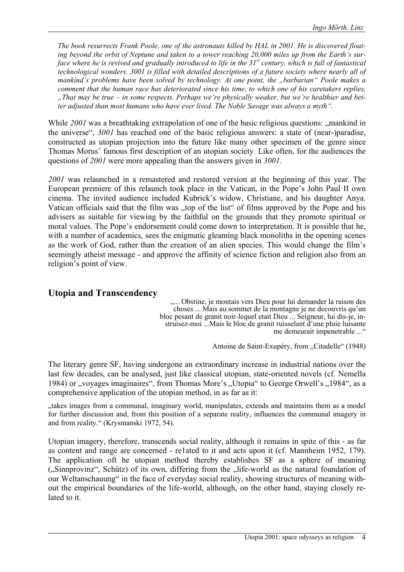*The book resurrects Frank Poole, one of the astronauts killed by HAL in 2001. He is discovered floating beyond the orbit of Neptune and taken to a tower reaching 20,000 miles up from the Earth's surface where he is revived and gradually introduced to life in the 31st century, which is full of fantastical technological wonders. 3001 is filled with detailed descriptions of a future society where nearly all of mankind's problems have been solved by technology. At one point, the "barbarian" Poole makes a comment that the human race has deteriorated since his time, to which one of his caretakers replies, "That may be true – in some respects. Perhaps we're physically weaker, but we're healthier and better adjusted than most humans who have ever lived. The Noble Savage was always a myth".* 

While 2001 was a breathtaking extrapolation of one of the basic religious questions: ...mankind in the universe", *3001* has reached one of the basic religious answers: a state of (near-)paradise, constructed as utopian projection into the future like many other specimen of the genre since Thomas Morus' famous first description of an utopian society. Like often, for the audiences the questions of *2001* were more appealing than the answers given in *3001*.

*2001* was relaunched in a remastered and restored version at the beginning of this year. The European premiere of this relaunch took place in the Vatican, in the Pope's John Paul II own cinema. The invited audience included Kubrick's widow, Christiane, and his daughter Anya. Vatican officials said that the film was "top of the list" of films approved by the Pope and his advisers as suitable for viewing by the faithful on the grounds that they promote spiritual or moral values. The Pope's endorsement could come down to interpretation. It is possible that he, with a number of academics, sees the enigmatic gleaming black monoliths in the opening scenes as the work of God, rather than the creation of an alien species. This would change the film's seemingly atheist message - and approve the affinity of science fiction and religion also from an religion's point of view.

### **Utopia and Transcendency**

..... Obstine, je montais vers Dieu pour lui demander la raison des choses ... Mais au sommet de la montagne je ne decouvris qu'un bloc pesant de granit noir-lequel etait Dieu ... Seigneur, lui dis-je, instruisez-moi ...Mais le bloc de granit ruisselant d'une pluie luisante me demeurait impenetrable ..."

Antoine de Saint-Exupéry, from "Citadelle" (1948)

The literary genre SF, having undergone an extraordinary increase in industrial nations over the last few decades, can be analysed, just like classical utopian, state-oriented novels (cf. Nemella 1984) or "voyages imaginaires", from Thomas More's "Utopia" to George Orwell's "1984", as a comprehensive application of the utopian method, in as far as it:

"takes images from a communal, imaginary world, manipulates, extends and maintains them as a model for further discussion and, from this position of a separate reality, influences the communal imagery in and from reality." (Krysmanski 1972, 54).

Utopian imagery, therefore, transcends social reality, although it remains in spite of this - as far as content and range are concerned - re1ated to it and acts upon it (cf. Mannheim 1952, 179). The application oft he utopian method thereby establishes SF as a sphere of meaning ("Sinnprovinz", Schütz) of its own, differing from the "life-world as the natural foundation of our Weltanschauung" in the face of everyday social reality, showing structures of meaning without the empirical boundaries of the life-world, although, on the other hand, staying closely related to it.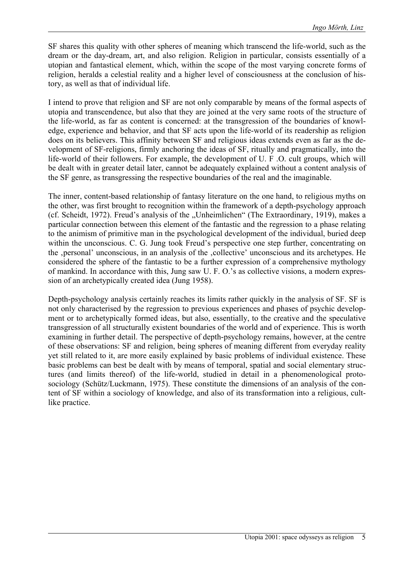SF shares this quality with other spheres of meaning which transcend the life-world, such as the dream or the day-dream, art, and also religion. Religion in particular, consists essentially of a utopian and fantastical element, which, within the scope of the most varying concrete forms of religion, heralds a celestial reality and a higher level of consciousness at the conclusion of history, as well as that of individual life.

I intend to prove that religion and SF are not only comparable by means of the formal aspects of utopia and transcendence, but also that they are joined at the very same roots of the structure of the life-world, as far as content is concerned: at the transgression of the boundaries of knowledge, experience and behavior, and that SF acts upon the life-world of its readership as religion does on its believers. This affinity between SF and religious ideas extends even as far as the development of SF-religions, firmly anchoring the ideas of SF, ritually and pragmatically, into the life-world of their followers. For example, the development of U. F .O. cult groups, which will be dealt with in greater detail later, cannot be adequately explained without a content analysis of the SF genre, as transgressing the respective boundaries of the real and the imaginable.

The inner, content-based relationship of fantasy literature on the one hand, to religious myths on the other, was first brought to recognition within the framework of a depth-psychology approach (cf. Scheidt, 1972). Freud's analysis of the "Unheimlichen" (The Extraordinary, 1919), makes a particular connection between this element of the fantastic and the regression to a phase relating to the animism of primitive man in the psychological development of the individual, buried deep within the unconscious. C. G. Jung took Freud's perspective one step further, concentrating on the , personal' unconscious, in an analysis of the , collective' unconscious and its archetypes. He considered the sphere of the fantastic to be a further expression of a comprehensive mythology of mankind. In accordance with this, Jung saw U. F. O.'s as collective visions, a modern expression of an archetypically created idea (Jung 1958).

Depth-psychology analysis certainly reaches its limits rather quickly in the analysis of SF. SF is not only characterised by the regression to previous experiences and phases of psychic development or to archetypically formed ideas, but also, essentially, to the creative and the speculative transgression of all structurally existent boundaries of the world and of experience. This is worth examining in further detail. The perspective of depth-psychology remains, however, at the centre of these observations: SF and religion, being spheres of meaning different from everyday reality yet still related to it, are more easily explained by basic problems of individual existence. These basic problems can best be dealt with by means of temporal, spatial and social elementary structures (and limits thereof) of the life-world, studied in detail in a phenomenological protosociology (Schütz/Luckmann, 1975). These constitute the dimensions of an analysis of the content of SF within a sociology of knowledge, and also of its transformation into a religious, cultlike practice.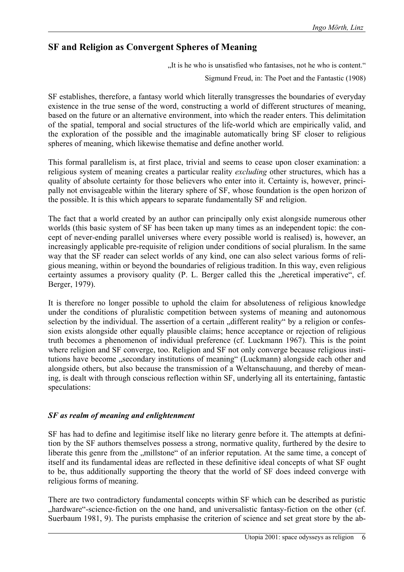# **SF and Religion as Convergent Spheres of Meaning**

"It is he who is unsatisfied who fantasises, not he who is content."

Sigmund Freud, in: The Poet and the Fantastic (1908)

SF establishes, therefore, a fantasy world which literally transgresses the boundaries of everyday existence in the true sense of the word, constructing a world of different structures of meaning, based on the future or an alternative environment, into which the reader enters. This delimitation of the spatial, temporal and social structures of the life-world which are empirically valid, and the exploration of the possible and the imaginable automatically bring SF closer to religious spheres of meaning, which likewise thematise and define another world.

This formal parallelism is, at first place, trivial and seems to cease upon closer examination: a religious system of meaning creates a particular reality *excluding* other structures, which has a quality of absolute certainty for those believers who enter into it. Certainty is, however, principally not envisageable within the literary sphere of SF, whose foundation is the open horizon of the possible. It is this which appears to separate fundamentally SF and religion.

The fact that a world created by an author can principally only exist alongside numerous other worlds (this basic system of SF has been taken up many times as an independent topic: the concept of never-ending parallel universes where every possible world is realised) is, however, an increasingly applicable pre-requisite of religion under conditions of social pluralism. In the same way that the SF reader can select worlds of any kind, one can also select various forms of religious meaning, within or beyond the boundaries of religious tradition. In this way, even religious certainty assumes a provisory quality (P. L. Berger called this the "heretical imperative", cf. Berger, 1979).

It is therefore no longer possible to uphold the claim for absoluteness of religious knowledge under the conditions of pluralistic competition between systems of meaning and autonomous selection by the individual. The assertion of a certain "different reality" by a religion or confession exists alongside other equally plausible claims; hence acceptance or rejection of religious truth becomes a phenomenon of individual preference (cf. Luckmann 1967). This is the point where religion and SF converge, too. Religion and SF not only converge because religious institutions have become ..secondary institutions of meaning" (Luckmann) alongside each other and alongside others, but also because the transmission of a Weltanschauung, and thereby of meaning, is dealt with through conscious reflection within SF, underlying all its entertaining, fantastic speculations:

#### *SF as realm of meaning and enlightenment*

SF has had to define and legitimise itself like no literary genre before it. The attempts at definition by the SF authors themselves possess a strong, normative quality, furthered by the desire to liberate this genre from the "millstone" of an inferior reputation. At the same time, a concept of itself and its fundamental ideas are reflected in these definitive ideal concepts of what SF ought to be, thus additionally supporting the theory that the world of SF does indeed converge with religious forms of meaning.

There are two contradictory fundamental concepts within SF which can be described as puristic "hardware"-science-fiction on the one hand, and universalistic fantasy-fiction on the other (cf. Suerbaum 1981, 9). The purists emphasise the criterion of science and set great store by the ab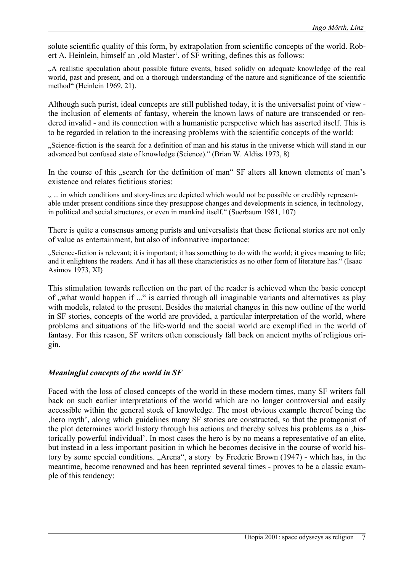solute scientific quality of this form, by extrapolation from scientific concepts of the world. Robert A. Heinlein, himself an 'old Master', of SF writing, defines this as follows:

"A realistic speculation about possible future events, based solidly on adequate knowledge of the real world, past and present, and on a thorough understanding of the nature and significance of the scientific method" (Heinlein 1969, 21).

Although such purist, ideal concepts are still published today, it is the universalist point of view the inclusion of elements of fantasy, wherein the known laws of nature are transcended or rendered invalid - and its connection with a humanistic perspective which has asserted itself. This is to be regarded in relation to the increasing problems with the scientific concepts of the world:

"Science-fiction is the search for a definition of man and his status in the universe which will stand in our advanced but confused state of knowledge (Science)." (Brian W. Aldiss 1973, 8)

In the course of this "search for the definition of man" SF alters all known elements of man's existence and relates fictitious stories:

., ... in which conditions and story-lines are depicted which would not be possible or credibly representable under present conditions since they presuppose changes and developments in science, in technology, in political and social structures, or even in mankind itself." (Suerbaum 1981, 107)

There is quite a consensus among purists and universalists that these fictional stories are not only of value as entertainment, but also of informative importance:

...Science-fiction is relevant; it is important; it has something to do with the world; it gives meaning to life; and it enlightens the readers. And it has all these characteristics as no other form of literature has." (Isaac Asimov 1973, XI)

This stimulation towards reflection on the part of the reader is achieved when the basic concept of "what would happen if ..." is carried through all imaginable variants and alternatives as play with models, related to the present. Besides the material changes in this new outline of the world in SF stories, concepts of the world are provided, a particular interpretation of the world, where problems and situations of the life-world and the social world are exemplified in the world of fantasy. For this reason, SF writers often consciously fall back on ancient myths of religious origin.

#### *Meaningful concepts of the world in SF*

Faced with the loss of closed concepts of the world in these modern times, many SF writers fall back on such earlier interpretations of the world which are no longer controversial and easily accessible within the general stock of knowledge. The most obvious example thereof being the hero myth', along which guidelines many SF stories are constructed, so that the protagonist of the plot determines world history through his actions and thereby solves his problems as a historically powerful individual'. In most cases the hero is by no means a representative of an elite, but instead in a less important position in which he becomes decisive in the course of world history by some special conditions. "Arena", a story by Frederic Brown (1947) - which has, in the meantime, become renowned and has been reprinted several times - proves to be a classic example of this tendency: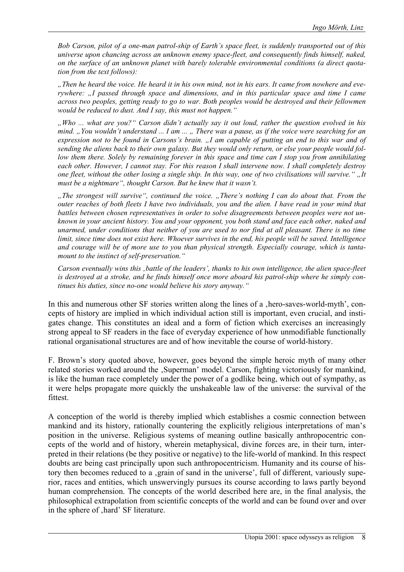*Bob Carson, pilot of a one-man patrol-ship of Earth's space fleet, is suddenly transported out of this universe upon chancing across an unknown enemy space-fleet, and consequently finds himself, naked, on the surface of an unknown planet with barely tolerable environmental conditions (a direct quotation from the text follows):* 

*"Then he heard the voice. He heard it in his own mind, not in his ears. It came from nowhere and everywhere: "I passed through space and dimensions, and in this particular space and time I came across two peoples, getting ready to go to war. Both peoples would be destroyed and their fellowmen would be reduced to dust. And I say, this must not happen."* 

*"Who ... what are you?" Carson didn't actually say it out loud, rather the question evolved in his mind. "You wouldn't understand ... I am ... " There was a pause, as if the voice were searching for an expression not to be found in Carsons's brain. "I am capable of putting an end to this war and of sending the aliens back to their own galaxy. But they would only return, or else your people would follow them there. Solely by remaining forever in this space and time can I stop you from annihilating each other. However, I cannot stay. For this reason I shall intervene now. I shall completely destroy one fleet, without the other losing a single ship. In this way, one of two civilisations will survive.* "*"It must be a nightmare", thought Carson. But he knew that it wasn't.* 

*"The strongest will survive", continued the voice. "There's nothing I can do about that. From the outer reaches of both fleets I have two individuals, you and the alien. I have read in your mind that battles between chosen representatives in order to solve disagreements between peoples were not unknown in your ancient history. You and your opponent, you both stand and face each other, naked and unarmed, under conditions that neither of you are used to nor find at all pleasant. There is no time limit, since time does not exist here. Whoever survives in the end, his people will be saved. Intelligence and courage will be of more use to you than physical strength. Especially courage, which is tantamount to the instinct of self-preservation."* 

*Carson eventually wins this 'battle of the leaders', thanks to his own intelligence, the alien space-fleet is destroyed at a stroke, and he finds himself once more aboard his patrol-ship where he simply continues his duties, since no-one would believe his story anyway."*

In this and numerous other SF stories written along the lines of a , hero-saves-world-myth', concepts of history are implied in which individual action still is important, even crucial, and instigates change. This constitutes an ideal and a form of fiction which exercises an increasingly strong appeal to SF readers in the face of everyday experience of how unmodifiable functionally rational organisational structures are and of how inevitable the course of world-history.

F. Brown's story quoted above, however, goes beyond the simple heroic myth of many other related stories worked around the 'Superman' model. Carson, fighting victoriously for mankind. is like the human race completely under the power of a godlike being, which out of sympathy, as it were helps propagate more quickly the unshakeable law of the universe: the survival of the fittest.

A conception of the world is thereby implied which establishes a cosmic connection between mankind and its history, rationally countering the explicitly religious interpretations of man's position in the universe. Religious systems of meaning outline basically anthropocentric concepts of the world and of history, wherein metaphysical, divine forces are, in their turn, interpreted in their relations (be they positive or negative) to the life-world of mankind. In this respect doubts are being cast principally upon such anthropocentricism. Humanity and its course of history then becomes reduced to a serain of sand in the universe', full of different, variously superior, races and entities, which unswervingly pursues its course according to laws partly beyond human comprehension. The concepts of the world described here are, in the final analysis, the philosophical extrapolation from scientific concepts of the world and can be found over and over in the sphere of , hard' SF literature.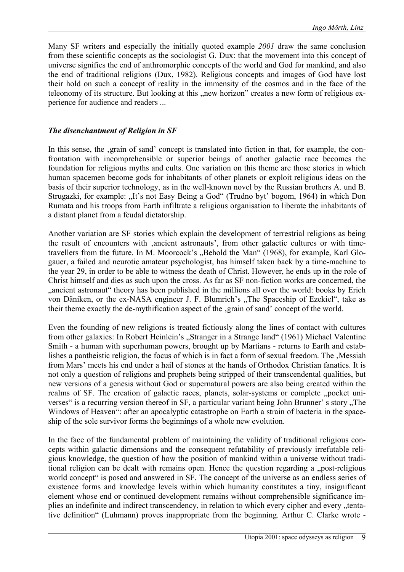Many SF writers and especially the initially quoted example *2001* draw the same conclusion from these scientific concepts as the sociologist G. Dux: that the movement into this concept of universe signifies the end of anthromorphic concepts of the world and God for mankind, and also the end of traditional religions (Dux, 1982). Religious concepts and images of God have lost their hold on such a concept of reality in the immensity of the cosmos and in the face of the teleonomy of its structure. But looking at this "new horizon" creates a new form of religious experience for audience and readers ...

#### *The disenchantment of Religion in SF*

In this sense, the 'grain of sand' concept is translated into fiction in that, for example, the confrontation with incomprehensible or superior beings of another galactic race becomes the foundation for religious myths and cults. One variation on this theme are those stories in which human spacemen become gods for inhabitants of other planets or exploit religious ideas on the basis of their superior technology, as in the well-known novel by the Russian brothers A. und B. Strugazki, for example: "It's not Easy Being a God" (Trudno byt' bogom, 1964) in which Don Rumata and his troops from Earth infiltrate a religious organisation to liberate the inhabitants of a distant planet from a feudal dictatorship.

Another variation are SF stories which explain the development of terrestrial religions as being the result of encounters with 'ancient astronauts', from other galactic cultures or with timetravellers from the future. In M. Moorcock's "Behold the Man" (1968), for example, Karl Glogauer, a failed and neurotic amateur psychologist, has himself taken back by a time-machine to the year 29, in order to be able to witness the death of Christ. However, he ends up in the role of Christ himself and dies as such upon the cross. As far as SF non-fiction works are concerned, the ", ancient astronaut" theory has been published in the millions all over the world: books by Erich von Däniken, or the ex-NASA engineer J. F. Blumrich's "The Spaceship of Ezekiel", take as their theme exactly the de-mythification aspect of the 'grain of sand' concept of the world.

Even the founding of new religions is treated fictiously along the lines of contact with cultures from other galaxies: In Robert Heinlein's "Stranger in a Strange land" (1961) Michael Valentine Smith - a human with superhuman powers, brought up by Martians - returns to Earth and establishes a pantheistic religion, the focus of which is in fact a form of sexual freedom. The , Messiah from Mars' meets his end under a hail of stones at the hands of Orthodox Christian fanatics. It is not only a question of religions and prophets being stripped of their transcendental qualities, but new versions of a genesis without God or supernatural powers are also being created within the realms of SF. The creation of galactic races, planets, solar-systems or complete "pocket universes" is a recurring version thereof in SF, a particular variant being John Brunner' s story "The Windows of Heaven": after an apocalyptic catastrophe on Earth a strain of bacteria in the spaceship of the sole survivor forms the beginnings of a whole new evolution.

In the face of the fundamental problem of maintaining the validity of traditional religious concepts within galactic dimensions and the consequent refutability of previously irrefutable religious knowledge, the question of how the position of mankind within a universe without traditional religion can be dealt with remains open. Hence the question regarding a "post-religious world concept" is posed and answered in SF. The concept of the universe as an endless series of existence forms and knowledge levels within which humanity constitutes a tiny, insignificant element whose end or continued development remains without comprehensible significance implies an indefinite and indirect transcendency, in relation to which every cipher and every "tentative definition" (Luhmann) proves inappropriate from the beginning. Arthur C. Clarke wrote -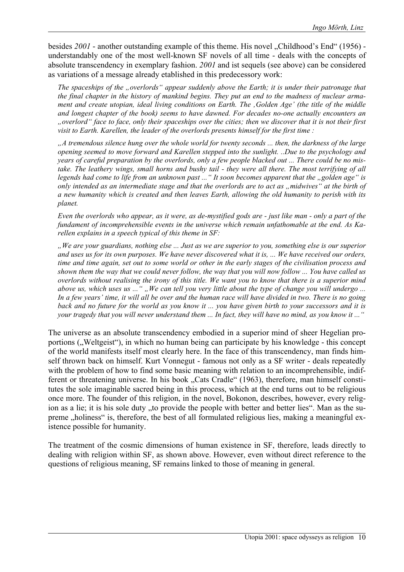besides 2001 - another outstanding example of this theme. His novel "Childhood's End" (1956) understandably one of the most well-known SF novels of all time - deals with the concepts of absolute transcendency in exemplary fashion. *2001* and ist sequels (see above) can be considered as variations of a message already etablished in this predecessory work:

*The spaceships of the "overlords" appear suddenly above the Earth; it is under their patronage that the final chapter in the history of mankind begins. They put an end to the madness of nuclear armament and create utopian, ideal living conditions on Earth. The 'Golden Age' (the title of the middle and longest chapter of the book) seems to have dawned. For decades no-one actually encounters an "overlord" face to face, only their spaceships over the cities; then we discover that it is not their first visit to Earth. Karellen, the leader of the overlords presents himself for the first time :* 

*"A tremendous silence hung over the whole world for twenty seconds ... then, the darkness of the large opening seemed to move forward and Karellen stepped into the sunlight. ..Due to the psychology and years of careful preparation by the overlords, only a few people blacked out ... There could be no mistake. The leathery wings, small horns and bushy tail - they were all there. The most terrifying of all*  legends had come to life from an unknown past ... "It soon becomes apparent that the "golden age" is *only intended as an intermediate stage and that the overlords are to act as , midwives* " at the birth of *a new humanity which is created and then leaves Earth, allowing the old humanity to perish with its planet.* 

*Even the overlords who appear, as it were, as de-mystified gods are - just like man - only a part of the fundament of incomprehensible events in the universe which remain unfathomable at the end. As Karellen explains in a speech typical of this theme in SF:* 

*"We are your guardians, nothing else ... Just as we are superior to you, something else is our superior and uses us for its own purposes. We have never discovered what it is, ... We have received our orders, time and time again, set out to some world or other in the early stages of the civilisation process and shown them the way that we could never follow, the way that you will now follow ... You have called us overlords without realising the irony of this title. We want you to know that there is a superior mind above us, which uses us ..." ,, We can tell you very little about the type of change you will undergo ... In a few years' time, it will all be over and the human race will have divided in two. There is no going back and no future for the world as you know it ... you have given birth to your successors and it is your tragedy that you will never understand them ... In fact, they will have no mind, as you know it ..."*

The universe as an absolute transcendency embodied in a superior mind of sheer Hegelian proportions ("Weltgeist"), in which no human being can participate by his knowledge - this concept of the world manifests itself most clearly here. In the face of this transcendency, man finds himself thrown back on himself. Kurt Vonnegut - famous not only as a SF writer - deals repeatedly with the problem of how to find some basic meaning with relation to an incomprehensible, indifferent or threatening universe. In his book "Cats Cradle" (1963), therefore, man himself constitutes the sole imaginable sacred being in this process, which at the end turns out to be religious once more. The founder of this religion, in the novel, Bokonon, describes, however, every religion as a lie; it is his sole duty "to provide the people with better and better lies". Man as the supreme "holiness" is, therefore, the best of all formulated religious lies, making a meaningful existence possible for humanity.

The treatment of the cosmic dimensions of human existence in SF, therefore, leads directly to dealing with religion within SF, as shown above. However, even without direct reference to the questions of religious meaning, SF remains linked to those of meaning in general.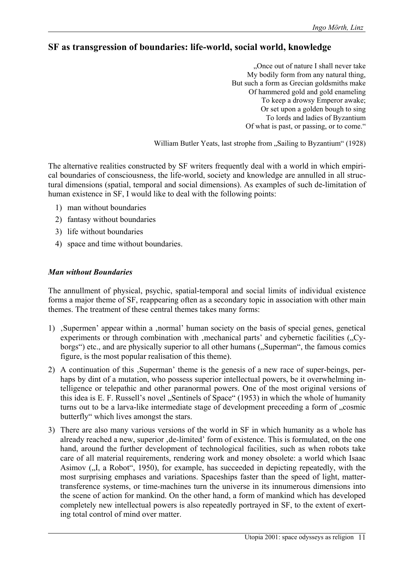# **SF as transgression of boundaries: life-world, social world, knowledge**

"Once out of nature I shall never take My bodily form from any natural thing, But such a form as Grecian goldsmiths make Of hammered gold and gold enameling To keep a drowsy Emperor awake; Or set upon a golden bough to sing To lords and ladies of Byzantium Of what is past, or passing, or to come."

William Butler Yeats, last strophe from "Sailing to Byzantium" (1928)

The alternative realities constructed by SF writers frequently deal with a world in which empirical boundaries of consciousness, the life-world, society and knowledge are annulled in all structural dimensions (spatial, temporal and social dimensions). As examples of such de-limitation of human existence in SF, I would like to deal with the following points:

- 1) man without boundaries
- 2) fantasy without boundaries
- 3) life without boundaries
- 4) space and time without boundaries.

#### *Man without Boundaries*

The annullment of physical, psychic, spatial-temporal and social limits of individual existence forms a major theme of SF, reappearing often as a secondary topic in association with other main themes. The treatment of these central themes takes many forms:

- 1) , Supermen' appear within a , normal' human society on the basis of special genes, genetical experiments or through combination with , mechanical parts' and cybernetic facilities (, Cyborgs") etc., and are physically superior to all other humans ("Superman", the famous comics figure, is the most popular realisation of this theme).
- 2) A continuation of this 'Superman' theme is the genesis of a new race of super-beings, perhaps by dint of a mutation, who possess superior intellectual powers, be it overwhelming intelligence or telepathic and other paranormal powers. One of the most original versions of this idea is E. F. Russell's novel . Sentinels of Space"  $(1953)$  in which the whole of humanity turns out to be a larva-like intermediate stage of development preceeding a form of "cosmic butterfly" which lives amongst the stars.
- 3) There are also many various versions of the world in SF in which humanity as a whole has already reached a new, superior  $de$ -limited' form of existence. This is formulated, on the one hand, around the further development of technological facilities, such as when robots take care of all material requirements, rendering work and money obsolete: a world which Isaac Asimov ( $\mu$ , a Robot", 1950), for example, has succeeded in depicting repeatedly, with the most surprising emphases and variations. Spaceships faster than the speed of light, mattertransference systems, or time-machines turn the universe in its innumerous dimensions into the scene of action for mankind. On the other hand, a form of mankind which has developed completely new intellectual powers is also repeatedly portrayed in SF, to the extent of exerting total control of mind over matter.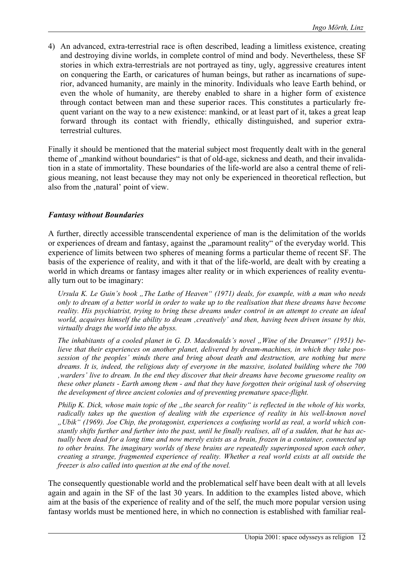4) An advanced, extra-terrestrial race is often described, leading a limitless existence, creating and destroying divine worlds, in complete control of mind and body. Nevertheless, these SF stories in which extra-terrestrials are not portrayed as tiny, ugly, aggressive creatures intent on conquering the Earth, or caricatures of human beings, but rather as incarnations of superior, advanced humanity, are mainly in the minority. Individuals who leave Earth behind, or even the whole of humanity, are thereby enabled to share in a higher form of existence through contact between man and these superior races. This constitutes a particularly frequent variant on the way to a new existence: mankind, or at least part of it, takes a great leap forward through its contact with friendly, ethically distinguished, and superior extraterrestrial cultures.

Finally it should be mentioned that the material subject most frequently dealt with in the general theme of "mankind without boundaries" is that of old-age, sickness and death, and their invalidation in a state of immortality. These boundaries of the life-world are also a central theme of religious meaning, not least because they may not only be experienced in theoretical reflection, but also from the ,natural' point of view.

#### *Fantasy without Boundaries*

A further, directly accessible transcendental experience of man is the delimitation of the worlds or experiences of dream and fantasy, against the "paramount reality" of the everyday world. This experience of limits between two spheres of meaning forms a particular theme of recent SF. The basis of the experience of reality, and with it that of the life-world, are dealt with by creating a world in which dreams or fantasy images alter reality or in which experiences of reality eventually turn out to be imaginary:

*Ursula K. Le Guin's book "The Lathe of Heaven" (1971) deals, for example, with a man who needs only to dream of a better world in order to wake up to the realisation that these dreams have become reality. His psychiatrist, trying to bring these dreams under control in an attempt to create an ideal world, acquires himself the ability to dream 'creatively' and then, having been driven insane by this, virtually drags the world into the abyss.* 

The inhabitants of a cooled planet in G. D. Macdonalds's novel "Wine of the Dreamer" (1951) be*lieve that their experiences on another planet, delivered by dream-machines, in which they take possession of the peoples' minds there and bring about death and destruction, are nothing but mere dreams. It is, indeed, the religious duty of everyone in the massive, isolated building where the 700 'warders' live to dream. In the end they discover that their dreams have become gruesome reality on these other planets - Earth among them - and that they have forgotten their original task of observing the development of three ancient colonies and of preventing premature space-flight.* 

*Philip K. Dick, whose main topic of the "the search for reality" is reflected in the whole of his works, radically takes up the question of dealing with the experience of reality in his well-known novel "Ubik" (1969). Joe Chip, the protagonist, experiences a confusing world as real, a world which constantly shifts further and further into the past, until he finally realises, all of a sudden, that he has actually been dead for a long time and now merely exists as a brain, frozen in a container, connected up to other brains. The imaginary worlds of these brains are repeatedly superimposed upon each other, creating a strange, fragmented experience of reality. Whether a real world exists at all outside the freezer is also called into question at the end of the novel.* 

The consequently questionable world and the problematical self have been dealt with at all levels again and again in the SF of the last 30 years. In addition to the examples listed above, which aim at the basis of the experience of reality and of the self, the much more popular version using fantasy worlds must be mentioned here, in which no connection is established with familiar real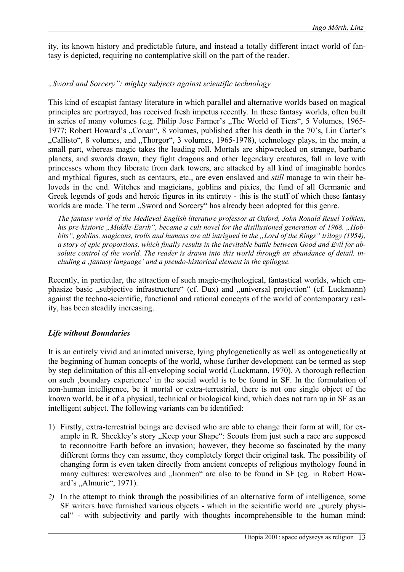ity, its known history and predictable future, and instead a totally different intact world of fantasy is depicted, requiring no contemplative skill on the part of the reader.

#### *"Sword and Sorcery": mighty subjects against scientific technology*

This kind of escapist fantasy literature in which parallel and alternative worlds based on magical principles are portrayed, has received fresh impetus recently. In these fantasy worlds, often built in series of many volumes (e.g. Philip Jose Farmer's "The World of Tiers", 5 Volumes, 1965-1977; Robert Howard's "Conan", 8 volumes, published after his death in the 70's, Lin Carter's "Callisto", 8 volumes, and "Thorgor", 3 volumes, 1965-1978), technology plays, in the main, a small part, whereas magic takes the leading roll. Mortals are shipwrecked on strange, barbaric planets, and swords drawn, they fight dragons and other legendary creatures, fall in love with princesses whom they liberate from dark towers, are attacked by all kind of imaginable hordes and mythical figures, such as centaurs, etc., are even enslaved and *still* manage to win their beloveds in the end. Witches and magicians, goblins and pixies, the fund of all Germanic and Greek legends of gods and heroic figures in its entirety - this is the stuff of which these fantasy worlds are made. The term . Sword and Sorcery" has already been adopted for this genre.

*The fantasy world of the Medieval English literature professor at Oxford, John Ronald Reuel Tolkien,*  his pre-historic "Middle-Earth", became a cult novel for the disillusioned generation of 1968. "Hobbits", goblins, magicans, trolls and humans are all intrigued in the "Lord of the Rings" trilogy (1954), *a story of epic proportions, which finally results in the inevitable battle between Good and Evil for absolute control of the world. The reader is drawn into this world through an abundance of detail, including a 'fantasy language' and a pseudo-historical element in the epilogue.* 

Recently, in particular, the attraction of such magic-mythological, fantastical worlds, which emphasize basic "subjective infrastructure" (cf. Dux) and "universal projection" (cf. Luckmann) against the techno-scientific, functional and rational concepts of the world of contemporary reality, has been steadily increasing.

#### *Life without Boundaries*

It is an entirely vivid and animated universe, lying phylogenetically as well as ontogenetically at the beginning of human concepts of the world, whose further development can be termed as step by step delimitation of this all-enveloping social world (Luckmann, 1970). A thorough reflection on such 'boundary experience' in the social world is to be found in SF. In the formulation of non-human intelligence, be it mortal or extra-terrestrial, there is not one single object of the known world, be it of a physical, technical or biological kind, which does not turn up in SF as an intelligent subject. The following variants can be identified:

- 1) Firstly, extra-terrestrial beings are devised who are able to change their form at will, for example in R. Sheckley's story "Keep your Shape": Scouts from just such a race are supposed to reconnoitre Earth before an invasion; however, they become so fascinated by the many different forms they can assume, they completely forget their original task. The possibility of changing form is even taken directly from ancient concepts of religious mythology found in many cultures: werewolves and "lionmen" are also to be found in SF (eg. in Robert Howard's "Almuric", 1971).
- *2)* In the attempt to think through the possibilities of an alternative form of intelligence, some SF writers have furnished various objects - which in the scientific world are "purely physical" - with subjectivity and partly with thoughts incomprehensible to the human mind: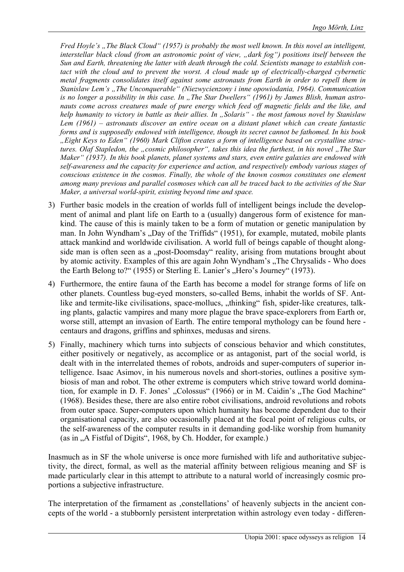*Fred Hoyle's "The Black Cloud" (1957) is probably the most well known. In this novel an intelligent, interstellar black cloud (from an astronomic point of view, "dark fog") positions itself between the Sun and Earth, threatening the latter with death through the cold. Scientists manage to establish contact with the cloud and to prevent the worst. A cloud made up of electrically-charged cybernetic metal fragments consolidates itself against some astronauts from Earth in order to repell them in Stanislaw Lem's "The Unconquerable" (Niezwycienzony i inne opowiodania, 1964). Communication*  is no longer a possibility in this case. In "The Star Dwellers" (1961) by James Blish, human astro*nauts come across creatures made of pure energy which feed off magnetic fields and the like, and help humanity to victory in battle as their allies. In "Solaris" - the most famous novel by Stanislaw Lem (1961) – astronauts discover an entire ocean on a distant planet which can create fantastic forms and is supposedly endowed with intelligence, though its secret cannot be fathomed. In his book "Eight Keys to Eden" (1960) Mark Clifton creates a form of intelligence based on crystalline struc*tures. Olaf Stapledon, the "cosmic philosopher", takes this idea the furthest, in his novel "The Star *Maker" (1937). In this book planets, planet systems and stars, even entire galaxies are endowed with self-awareness and the capacity for experience and action, and respectively embody various stages of conscious existence in the cosmos. Finally, the whole of the known cosmos constitutes one element among many previous and parallel cosmoses which can all be traced back to the activities of the Star Maker, a universal world-spirit, existing beyond time and space.* 

- 3) Further basic models in the creation of worlds full of intelligent beings include the development of animal and plant life on Earth to a (usually) dangerous form of existence for mankind. The cause of this is mainly taken to be a form of mutation or genetic manipulation by man. In John Wyndham's "Day of the Triffids" (1951), for example, mutated, mobile plants attack mankind and worldwide civilisation. A world full of beings capable of thought alongside man is often seen as a "post-Doomsday" reality, arising from mutations brought about by atomic activity. Examples of this are again John Wyndham's "The Chrysalids - Who does the Earth Belong to?" (1955) or Sterling E. Lanier's "Hero's Journey" (1973).
- 4) Furthermore, the entire fauna of the Earth has become a model for strange forms of life on other planets. Countless bug-eyed monsters, so-called Bems, inhabit the worlds of SF. Antlike and termite-like civilisations, space-mollucs, "thinking" fish, spider-like creatures, talking plants, galactic vampires and many more plague the brave space-explorers from Earth or, worse still, attempt an invasion of Earth. The entire temporal mythology can be found here centaurs and dragons, griffins and sphinxes, medusas and sirens.
- 5) Finally, machinery which turns into subjects of conscious behavior and which constitutes, either positively or negatively, as accomplice or as antagonist, part of the social world, is dealt with in the interrelated themes of robots, androids and super-computers of superior intelligence. Isaac Asimov, in his numerous novels and short-stories, outlines a positive symbiosis of man and robot. The other extreme is computers which strive toward world domination, for example in D. F. Jones' "Colossus" (1966) or in M. Caidin's "The God Machine" (1968). Besides these, there are also entire robot civilisations, android revolutions and robots from outer space. Super-computers upon which humanity has become dependent due to their organisational capacity, are also occasionally placed at the focal point of religious cults, or the self-awareness of the computer results in it demanding god-like worship from humanity (as in  $\mathcal{A}$  Fistful of Digits", 1968, by Ch. Hodder, for example.)

Inasmuch as in SF the whole universe is once more furnished with life and authoritative subjectivity, the direct, formal, as well as the material affinity between religious meaning and SF is made particularly clear in this attempt to attribute to a natural world of increasingly cosmic proportions a subjective infrastructure.

The interpretation of the firmament as , constellations' of heavenly subjects in the ancient concepts of the world - a stubbornly persistent interpretation within astrology even today - differen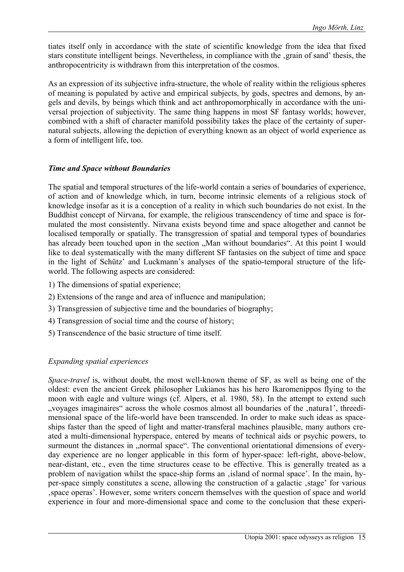tiates itself only in accordance with the state of scientific knowledge from the idea that fixed stars constitute intelligent beings. Nevertheless, in compliance with the grain of sand' thesis, the anthropocentricity is withdrawn from this interpretation of the cosmos.

As an expression of its subjective infra-structure, the whole of reality within the religious spheres of meaning is populated by active and empirical subjects, by gods, spectres and demons, by angels and devils, by beings which think and act anthropomorphically in accordance with the universal projection of subjectivity. The same thing happens in most SF fantasy worlds; however, combined with a shift of character manifold possibility takes the place of the certainty of supernatural subjects, allowing the depiction of everything known as an object of world experience as a form of intelligent life, too.

#### *Time and Space without Boundaries*

The spatial and temporal structures of the life-world contain a series of boundaries of experience, of action and of knowledge which, in turn, become intrinsic elements of a religious stock of knowledge insofar as it is a conception of a reality in which such boundaries do not exist. In the Buddhist concept of Nirvana, for example, the religious transcendency of time and space is formulated the most consistently. Nirvana exists beyond time and space altogether and cannot be localised temporally or spatially. The transgression of spatial and temporal types of boundaries has already been touched upon in the section . Man without boundaries". At this point I would like to deal systematically with the many different SF fantasies on the subject of time and space in the light of Schütz' and Luckmann's analyses of the spatio-temporal structure of the lifeworld. The following aspects are considered:

- 1) The dimensions of spatial experience;
- 2) Extensions of the range and area of influence and manipulation;
- 3) Transgression of subjective time and the boundaries of biography;
- 4) Transgression of social time and the course of history;
- 5) Transcendence of the basic structure of time itself.

#### *Expanding spatial experiences*

*Space-travel* is, without doubt, the most well-known theme of SF, as well as being one of the oldest: even the ancient Greek philosopher Lukianos has his hero Ikaromenippos flying to the moon with eagle and vulture wings (cf. Alpers, et al. 1980, 58). In the attempt to extend such "voyages imaginaires" across the whole cosmos almost all boundaries of the 'natura1', threedimensional space of the life-world have been transcended. In order to make such ideas as spaceships faster than the speed of light and matter-transferal machines plausible, many authors created a multi-dimensional hyperspace, entered by means of technical aids or psychic powers, to surmount the distances in "normal space". The conventional orientational dimensions of everyday experience are no longer applicable in this form of hyper-space: left-right, above-below, near-distant, etc., even the time structures cease to be effective. This is generally treated as a problem of navigation whilst the space-ship forms an , island of normal space'. In the main, hyper-space simply constitutes a scene, allowing the construction of a galactic stage' for various 'space operas'. However, some writers concern themselves with the question of space and world experience in four and more-dimensional space and come to the conclusion that these experi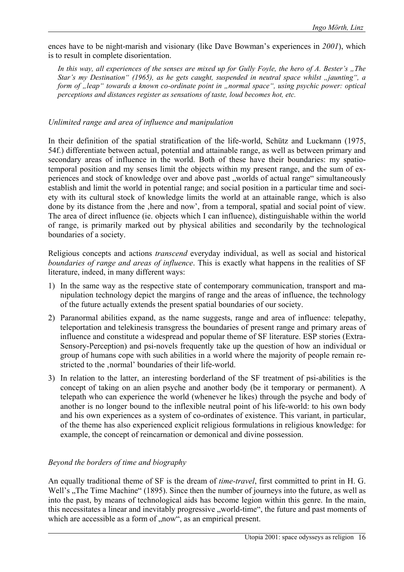ences have to be night-marish and visionary (like Dave Bowman's experiences in *2001*), which is to result in complete disorientation.

In this way, all experiences of the senses are mixed up for Gully Foyle, the hero of A. Bester's "The *Star's my Destination" (1965), as he gets caught, suspended in neutral space whilst "jaunting", a form of "leap" towards a known co-ordinate point in "normal space", using psychic power: optical perceptions and distances register as sensations of taste, loud becomes hot, etc.* 

#### *Unlimited range and area of influence and manipulation*

In their definition of the spatial stratification of the life-world, Schütz and Luckmann (1975, 54f.) differentiate between actual, potential and attainable range, as well as between primary and secondary areas of influence in the world. Both of these have their boundaries: my spatiotemporal position and my senses limit the objects within my present range, and the sum of experiences and stock of knowledge over and above past "worlds of actual range" simultaneously establish and limit the world in potential range; and social position in a particular time and society with its cultural stock of knowledge limits the world at an attainable range, which is also done by its distance from the , here and now', from a temporal, spatial and social point of view. The area of direct influence (ie. objects which I can influence), distinguishable within the world of range, is primarily marked out by physical abilities and secondarily by the technological boundaries of a society.

Religious concepts and actions *transcend* everyday individual, as well as social and historical *boundaries of range and areas of influence*. This is exactly what happens in the realities of SF literature, indeed, in many different ways:

- 1) In the same way as the respective state of contemporary communication, transport and manipulation technology depict the margins of range and the areas of influence, the technology of the future actually extends the present spatial boundaries of our society.
- 2) Paranormal abilities expand, as the name suggests, range and area of influence: telepathy, teleportation and telekinesis transgress the boundaries of present range and primary areas of influence and constitute a widespread and popular theme of SF literature. ESP stories (Extra-Sensory-Perception) and psi-novels frequently take up the question of how an individual or group of humans cope with such abilities in a world where the majority of people remain restricted to the ,normal' boundaries of their life-world.
- 3) In relation to the latter, an interesting borderland of the SF treatment of psi-abilities is the concept of taking on an alien psyche and another body (be it temporary or permanent). A telepath who can experience the world (whenever he likes) through the psyche and body of another is no longer bound to the inflexible neutral point of his life-world: to his own body and his own experiences as a system of co-ordinates of existence. This variant, in particular, of the theme has also experienced explicit religious formulations in religious knowledge: for example, the concept of reincarnation or demonical and divine possession.

#### *Beyond the borders of time and biography*

An equally traditional theme of SF is the dream of *time-travel*, first committed to print in H. G. Well's . The Time Machine" (1895). Since then the number of journeys into the future, as well as into the past, by means of technological aids has become legion within this genre. In the main, this necessitates a linear and inevitably progressive "world-time", the future and past moments of which are accessible as a form of "now", as an empirical present.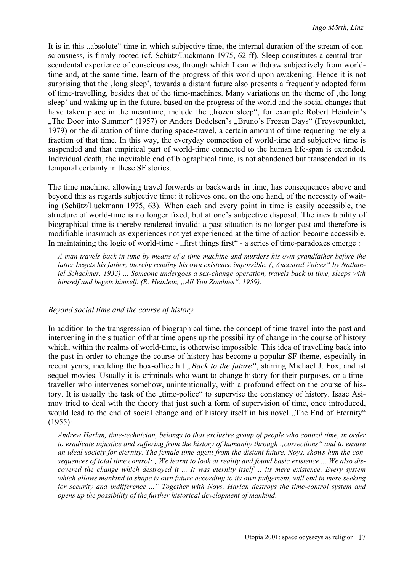It is in this "absolute" time in which subjective time, the internal duration of the stream of consciousness, is firmly rooted (cf. Schütz/Luckmann 1975, 62 ff). Sleep constitutes a central transcendental experience of consciousness, through which I can withdraw subjectively from worldtime and, at the same time, learn of the progress of this world upon awakening. Hence it is not surprising that the 'long sleep', towards a distant future also presents a frequently adopted form of time-travelling, besides that of the time-machines. Many variations on the theme of the long sleep' and waking up in the future, based on the progress of the world and the social changes that have taken place in the meantime, include the "frozen sleep", for example Robert Heinlein's "The Door into Summer" (1957) or Anders Bodelsen's "Bruno's Frozen Days" (Freysepunktet, 1979) or the dilatation of time during space-travel, a certain amount of time requering merely a fraction of that time. In this way, the everyday connection of world-time and subjective time is suspended and that empirical part of world-time connected to the human life-span is extended. Individual death, the inevitable end of biographical time, is not abandoned but transcended in its temporal certainty in these SF stories.

The time machine, allowing travel forwards or backwards in time, has consequences above and beyond this as regards subjective time: it relieves one, on the one hand, of the necessity of waiting (Schütz/Luckmann 1975, 63). When each and every point in time is easily accessible, the structure of world-time is no longer fixed, but at one's subjective disposal. The inevitability of biographical time is thereby rendered invalid: a past situation is no longer past and therefore is modifiable inasmuch as experiences not yet experienced at the time of action become accessible. In maintaining the logic of world-time - "first things first" - a series of time-paradoxes emerge :

*A man travels back in time by means of a time-machine and murders his own grandfather before the*  latter begets his father, thereby rending his own existence impossible. ("Ancestral Voices" by Nathan*iel Schachner, 1933) ... Someone undergoes a sex-change operation, travels back in time, sleeps with himself and begets himself. (R. Heinlein, "All You Zombies", 1959).*

#### *Beyond social time and the course of history*

In addition to the transgression of biographical time, the concept of time-travel into the past and intervening in the situation of that time opens up the possibility of change in the course of history which, within the realms of world-time, is otherwise impossible. This idea of travelling back into the past in order to change the course of history has become a popular SF theme, especially in recent years, inculding the box-office hit "Back to the future", starring Michael J. Fox, and ist sequel movies. Usually it is criminals who want to change history for their purposes, or a timetraveller who intervenes somehow, unintentionally, with a profound effect on the course of history. It is usually the task of the "time-police" to supervise the constancy of history. Isaac Asimov tried to deal with the theory that just such a form of supervision of time, once introduced, would lead to the end of social change and of history itself in his novel . The End of Eternity" (1955):

*Andrew Harlan, time-technician, belongs to that exclusive group of people who control time, in order to eradicate injustice and suffering from the history of humanity through "corrections" and to ensure an ideal society for eternity. The female time-agent from the distant future, Noys. shows him the consequences of total time control: "We learnt to look at reality and found basic existence ... We also discovered the change which destroyed it ... It was eternity itself ... its mere existence. Every system which allows mankind to shape is own future according to its own judgement, will end in mere seeking for security and indifference ..." Together with Noys, Harlan destroys the time-control system and opens up the possibility of the further historical development of mankind*.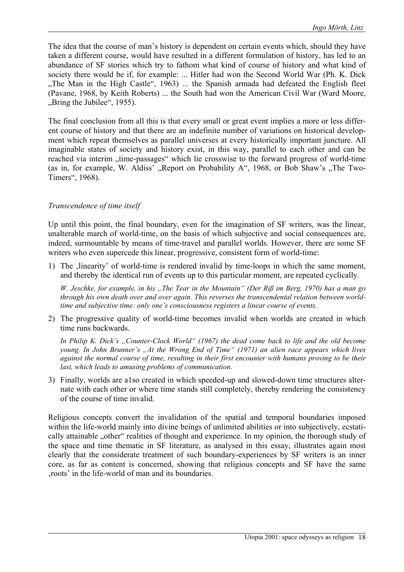The idea that the course of man's history is dependent on certain events which, should they have taken a different course, would have resulted in a different formulation of history, has led to an abundance of SF stories which try to fathom what kind of course of history and what kind of society there would be if, for example: ... Hitler had won the Second World War (Ph. K. Dick "The Man in the High Castle", 1963) ... the Spanish armada had defeated the English fleet (Pavane, 1968, by Keith Roberts) ... the South had won the American Civil War (Ward Moore, "Bring the Jubilee", 1955).

The final conclusion from all this is that every small or great event implies a more or less different course of history and that there are an indefinite number of variations on historical development which repeat themselves as parallel universes at every historically important juncture. All imaginable states of society and history exist, in this way, parallel to each other and can be reached via interim "time-passages" which lie crosswise to the forward progress of world-time (as in, for example, W. Aldiss', Report on Probability A", 1968, or Bob Shaw's  $n$ The Two-Timers", 1968).

#### *Transcendence of time itself*

Up until this point, the final boundary, even for the imagination of SF writers, was the linear, unalterable march of world-time, on the basis of which subjective and social consequences are, indeed, surmountable by means of time-travel and parallel worlds. However, there are some SF writers who even supercede this linear, progressive, consistent form of world-time:

1) The , linearity' of world-time is rendered invalid by time-loops in which the same moment, and thereby the identical run of events up to this particular moment, are repeated cyclically.

*W. Jeschke, for example, in his "The Tear in the Mountain" (Der Riß im Berg, 1970) has a man go through his own death over and over again. This reverses the transcendental relation between worldtime and subjective time: only one's consciousness registers a linear course of events.* 

2) The progressive quality of world-time becomes invalid when worlds are created in which time runs backwards.

In Philip K. Dick's ..Counter-Clock World" (1967) the dead come back to life and the old become *young. In John Brunner's , At the Wrong End of Time" (1971) an alien race appears which lives against the normal course of time, resulting in their first encounter with humans proving to be their last, which leads to amusing problems of communication.* 

3) Finally, worlds are a1so created in which speeded-up and slowed-down time structures alternate with each other or where time stands still completely, thereby rendering the consistency of the course of time invalid.

Religious concepts convert the invalidation of the spatial and temporal boundaries imposed within the life-world mainly into divine beings of unlimited abilities or into subjectively, ecstatically attainable "other" realities of thought and experience. In my opinion, the thorough study of the space and time thematic in SF literature, as analysed in this essay, illustrates again most clearly that the considerate treatment of such boundary-experiences by SF writers is an inner core, as far as content is concerned, showing that religious concepts and SF have the same 'roots' in the life-world of man and its boundaries.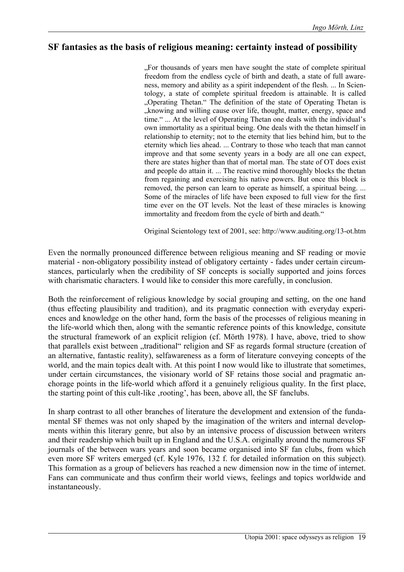## **SF fantasies as the basis of religious meaning: certainty instead of possibility**

"For thousands of years men have sought the state of complete spiritual freedom from the endless cycle of birth and death, a state of full awareness, memory and ability as a spirit independent of the flesh. ... In Scientology, a state of complete spiritual freedom is attainable. It is called "Operating Thetan." The definition of the state of Operating Thetan is "knowing and willing cause over life, thought, matter, energy, space and time." ... At the level of Operating Thetan one deals with the individual's own immortality as a spiritual being. One deals with the thetan himself in relationship to eternity; not to the eternity that lies behind him, but to the eternity which lies ahead. ... Contrary to those who teach that man cannot improve and that some seventy years in a body are all one can expect, there are states higher than that of mortal man. The state of OT does exist and people do attain it. ... The reactive mind thoroughly blocks the thetan from regaining and exercising his native powers. But once this block is removed, the person can learn to operate as himself, a spiritual being. ... Some of the miracles of life have been exposed to full view for the first time ever on the OT levels. Not the least of these miracles is knowing immortality and freedom from the cycle of birth and death."

Original Scientology text of 2001, see: http://www.auditing.org/13-ot.htm

Even the normally pronounced difference between religious meaning and SF reading or movie material - non-obligatory possibility instead of obligatory certainty - fades under certain circumstances, particularly when the credibility of SF concepts is socially supported and joins forces with charismatic characters. I would like to consider this more carefully, in conclusion.

Both the reinforcement of religious knowledge by social grouping and setting, on the one hand (thus effecting plausibility and tradition), and its pragmatic connection with everyday experiences and knowledge on the other hand, form the basis of the processes of religious meaning in the life-world which then, along with the semantic reference points of this knowledge, consitute the structural framework of an explicit religion (cf. Mörth 1978). I have, above, tried to show that parallels exist between "traditional" religion and SF as regards formal structure (creation of an alternative, fantastic reality), selfawareness as a form of literature conveying concepts of the world, and the main topics dealt with. At this point I now would like to illustrate that sometimes, under certain circumstances, the visionary world of SF retains those social and pragmatic anchorage points in the life-world which afford it a genuinely religious quality. In the first place, the starting point of this cult-like , rooting', has been, above all, the SF fanclubs.

In sharp contrast to all other branches of literature the development and extension of the fundamental SF themes was not only shaped by the imagination of the writers and internal developments within this literary genre, but also by an intensive process of discussion between writers and their readership which built up in England and the U.S.A. originally around the numerous SF journals of the between wars years and soon became organised into SF fan clubs, from which even more SF writers emerged (cf. Kyle 1976, 132 f. for detailed information on this subject). This formation as a group of believers has reached a new dimension now in the time of internet. Fans can communicate and thus confirm their world views, feelings and topics worldwide and instantaneously.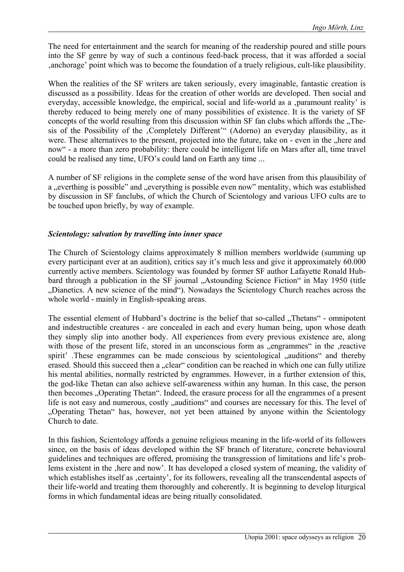The need for entertainment and the search for meaning of the readership poured and stille pours into the SF genre by way of such a continous feed-back process, that it was afforded a social 'anchorage' point which was to become the foundation of a truely religious, cult-like plausibility.

When the realities of the SF writers are taken seriously, every imaginable, fantastic creation is discussed as a possibility. Ideas for the creation of other worlds are developed. Then social and everyday, accessible knowledge, the empirical, social and life-world as a 'paramount reality' is thereby reduced to being merely one of many possibilities of existence. It is the variety of SF concepts of the world resulting from this discussion within SF fan clubs which affords the "Thesis of the Possibility of the 'Completely Different'" (Adorno) an everyday plausibility, as it were. These alternatives to the present, projected into the future, take on - even in the "here and now" - a more than zero probability: there could be intelligent life on Mars after all, time travel could be realised any time, UFO's could land on Earth any time ...

A number of SF religions in the complete sense of the word have arisen from this plausibility of a "everthing is possible" and "everything is possible even now" mentality, which was established by discussion in SF fanclubs, of which the Church of Scientology and various UFO cults are to be touched upon briefly, by way of example.

#### *Scientology: salvation by travelling into inner space*

The Church of Scientology claims approximately 8 million members worldwide (summing up every participant ever at an audition), critics say it's much less and give it approximately 60.000 currently active members. Scientology was founded by former SF author Lafayette Ronald Hubbard through a publication in the SF journal "Astounding Science Fiction" in May 1950 (title "Dianetics. A new science of the mind"). Nowadays the Scientology Church reaches across the whole world - mainly in English-speaking areas.

The essential element of Hubbard's doctrine is the belief that so-called "Thetans" - omnipotent and indestructible creatures - are concealed in each and every human being, upon whose death they simply slip into another body. All experiences from every previous existence are, along with those of the present life, stored in an unconscious form as "engrammes" in the reactive spirit'. These engrammes can be made conscious by scientological "auditions" and thereby erased. Should this succeed then a "clear" condition can be reached in which one can fully utilize his mental abilities, normally restricted by engrammes. However, in a further extension of this, the god-like Thetan can also achieve self-awareness within any human. In this case, the person then becomes "Operating Thetan". Indeed, the erasure process for all the engrammes of a present life is not easy and numerous, costly "auditions" and courses are necessary for this. The level of "Operating Thetan" has, however, not yet been attained by anyone within the Scientology Church to date.

In this fashion, Scientology affords a genuine religious meaning in the life-world of its followers since, on the basis of ideas developed within the SF branch of literature, concrete behavioural guidelines and techniques are offered, promising the transgression of limitations and life's problems existent in the , here and now'. It has developed a closed system of meaning, the validity of which establishes itself as , certainty', for its followers, revealing all the transcendental aspects of their life-world and treating them thoroughly and coherently. It is beginning to develop liturgical forms in which fundamental ideas are being ritually consolidated.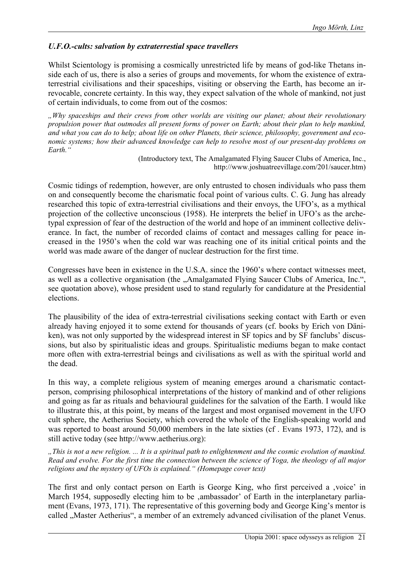#### *U.F.O.-cults: salvation by extraterrestial space travellers*

Whilst Scientology is promising a cosmically unrestricted life by means of god-like Thetans inside each of us, there is also a series of groups and movements, for whom the existence of extraterrestrial civilisations and their spaceships, visiting or observing the Earth, has become an irrevocable, concrete certainty. In this way, they expect salvation of the whole of mankind, not just of certain individuals, to come from out of the cosmos:

*"Why spaceships and their crews from other worlds are visiting our planet; about their revolutionary propulsion power that outmodes all present forms of power on Earth; about their plan to help mankind, and what you can do to help; about life on other Planets, their science, philosophy, government and economic systems; how their advanced knowledge can help to resolve most of our present-day problems on Earth."* 

> (Introductory text, The Amalgamated Flying Saucer Clubs of America, Inc., http://www.joshuatreevillage.com/201/saucer.htm)

Cosmic tidings of redemption, however, are only entrusted to chosen individuals who pass them on and consequently become the charismatic focal point of various cults. C. G. Jung has already researched this topic of extra-terrestrial civilisations and their envoys, the UFO's, as a mythical projection of the collective unconscious (1958). He interprets the belief in UFO's as the archetypal expression of fear of the destruction of the world and hope of an imminent collective deliverance. In fact, the number of recorded claims of contact and messages calling for peace increased in the 1950's when the cold war was reaching one of its initial critical points and the world was made aware of the danger of nuclear destruction for the first time.

Congresses have been in existence in the U.S.A. since the 1960's where contact witnesses meet, as well as a collective organisation (the "Amalgamated Flying Saucer Clubs of America, Inc.", see quotation above), whose president used to stand regularly for candidature at the Presidential elections.

The plausibility of the idea of extra-terrestrial civilisations seeking contact with Earth or even already having enjoyed it to some extend for thousands of years (cf. books by Erich von Däniken), was not only supported by the widespread interest in SF topics and by SF fanclubs' discussions, but also by spiritualistic ideas and groups. Spiritualistic mediums began to make contact more often with extra-terrestrial beings and civilisations as well as with the spiritual world and the dead.

In this way, a complete religious system of meaning emerges around a charismatic contactperson, comprising philosophical interpretations of the history of mankind and of other religions and going as far as rituals and behavioural guidelines for the salvation of the Earth. I would like to illustrate this, at this point, by means of the largest and most organised movement in the UFO cult sphere, the Aetherius Society, which covered the whole of the English-speaking world and was reported to boast around 50,000 members in the late sixties (cf . Evans 1973, 172), and is still active today (see http://www.aetherius.org):

*"This is not a new religion. ... It is a spiritual path to enlightenment and the cosmic evolution of mankind. Read and evolve. For the first time the connection between the science of Yoga, the theology of all major religions and the mystery of UFOs is explained." (Homepage cover text)* 

The first and only contact person on Earth is George King, who first perceived a 'voice' in March 1954, supposedly electing him to be ,ambassador' of Earth in the interplanetary parliament (Evans, 1973, 171). The representative of this governing body and George King's mentor is called "Master Aetherius", a member of an extremely advanced civilisation of the planet Venus.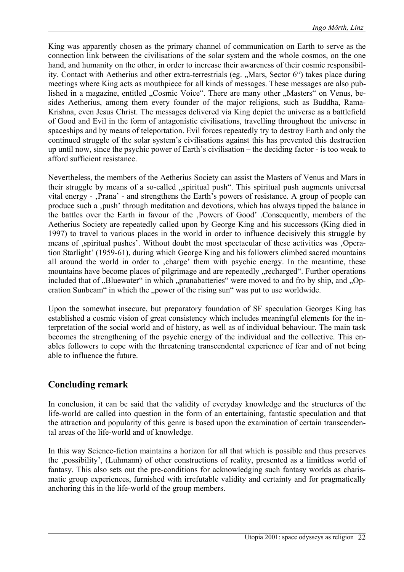King was apparently chosen as the primary channel of communication on Earth to serve as the connection link between the civilisations of the solar system and the whole cosmos, on the one hand, and humanity on the other, in order to increase their awareness of their cosmic responsibility. Contact with Aetherius and other extra-terrestrials (eg. "Mars, Sector 6") takes place during meetings where King acts as mouthpiece for all kinds of messages. These messages are also published in a magazine, entitled "Cosmic Voice". There are many other "Masters" on Venus, besides Aetherius, among them every founder of the major religions, such as Buddha, Rama-Krishna, even Jesus Christ. The messages delivered via King depict the universe as a battlefield of Good and Evil in the form of antagonistic civilisations, travelling throughout the universe in spaceships and by means of teleportation. Evil forces repeatedly try to destroy Earth and only the continued struggle of the solar system's civilisations against this has prevented this destruction up until now, since the psychic power of Earth's civilisation – the deciding factor - is too weak to afford sufficient resistance.

Nevertheless, the members of the Aetherius Society can assist the Masters of Venus and Mars in their struggle by means of a so-called "spiritual push". This spiritual push augments universal vital energy -  $Prana'$  - and strengthens the Earth's powers of resistance. A group of people can produce such a 'push' through meditation and devotions, which has always tipped the balance in the battles over the Earth in favour of the 'Powers of Good' .Consequently, members of the Aetherius Society are repeatedly called upon by George King and his successors (King died in 1997) to travel to various places in the world in order to influence decisively this struggle by means of spiritual pushes'. Without doubt the most spectacular of these activities was operation Starlight' (1959-61), during which George King and his followers climbed sacred mountains all around the world in order to charge' them with psychic energy. In the meantime, these mountains have become places of pilgrimage and are repeatedly "recharged". Further operations included that of "Bluewater" in which "pranabatteries" were moved to and fro by ship, and "Operation Sunbeam" in which the "power of the rising sun" was put to use worldwide.

Upon the somewhat insecure, but preparatory foundation of SF speculation Georges King has established a cosmic vision of great consistency which includes meaningful elements for the interpretation of the social world and of history, as well as of individual behaviour. The main task becomes the strengthening of the psychic energy of the individual and the collective. This enables followers to cope with the threatening transcendental experience of fear and of not being able to influence the future.

# **Concluding remark**

In conclusion, it can be said that the validity of everyday knowledge and the structures of the life-world are called into question in the form of an entertaining, fantastic speculation and that the attraction and popularity of this genre is based upon the examination of certain transcendental areas of the life-world and of knowledge.

In this way Science-fiction maintains a horizon for all that which is possible and thus preserves the 'possibility', (Luhmann) of other constructions of reality, presented as a limitless world of fantasy. This also sets out the pre-conditions for acknowledging such fantasy worlds as charismatic group experiences, furnished with irrefutable validity and certainty and for pragmatically anchoring this in the life-world of the group members.